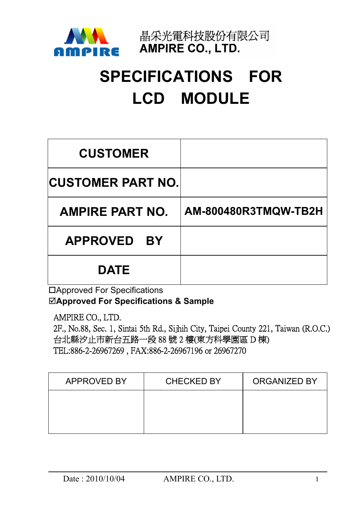

晶采光電科技股份有限公司 **AMPIRE CO., LTD.** 

# **SPECIFICATIONS FOR LCD MODULE**

| <b>CUSTOMER</b>          |                      |
|--------------------------|----------------------|
| <b>CUSTOMER PART NO.</b> |                      |
| <b>AMPIRE PART NO.</b>   | AM-800480R3TMQW-TB2H |
| APPROVED BY              |                      |
| <b>DATE</b>              |                      |

Approved For Specifications ;**Approved For Specifications & Sample** 

AMPIRE CO., LTD.

2F., No.88, Sec. 1, Sintai 5th Rd., Sijhih City, Taipei County 221, Taiwan (R.O.C.) 台北縣汐止市新台五路一段 88號 2樓(東方科學園區 D棟) TEL:886-2-26967269, FAX:886-2-26967196 or 26967270

| <b>APPROVED BY</b> | <b>CHECKED BY</b> | <b>ORGANIZED BY</b> |
|--------------------|-------------------|---------------------|
|                    |                   |                     |
|                    |                   |                     |
|                    |                   |                     |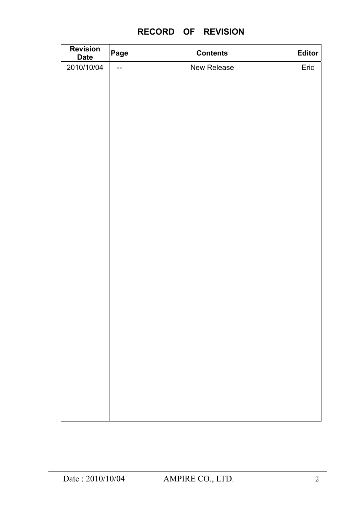## **RECORD OF REVISION**

| <b>Revision</b><br><b>Date</b> | Page | <b>Contents</b> | Editor |
|--------------------------------|------|-----------------|--------|
| 2010/10/04                     | $-$  | New Release     | Eric   |
|                                |      |                 |        |
|                                |      |                 |        |
|                                |      |                 |        |
|                                |      |                 |        |
|                                |      |                 |        |
|                                |      |                 |        |
|                                |      |                 |        |
|                                |      |                 |        |
|                                |      |                 |        |
|                                |      |                 |        |
|                                |      |                 |        |
|                                |      |                 |        |
|                                |      |                 |        |
|                                |      |                 |        |
|                                |      |                 |        |
|                                |      |                 |        |
|                                |      |                 |        |
|                                |      |                 |        |
|                                |      |                 |        |
|                                |      |                 |        |
|                                |      |                 |        |
|                                |      |                 |        |
|                                |      |                 |        |
|                                |      |                 |        |
|                                |      |                 |        |
|                                |      |                 |        |
|                                |      |                 |        |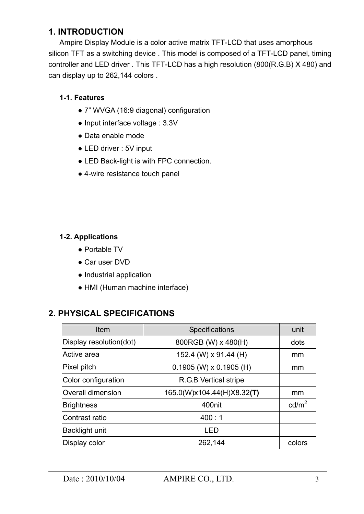## **1. INTRODUCTION**

Ampire Display Module is a color active matrix TFT-LCD that uses amorphous silicon TFT as a switching device . This model is composed of a TFT-LCD panel, timing controller and LED driver . This TFT-LCD has a high resolution (800(R.G.B) X 480) and can display up to 262,144 colors .

#### **1-1. Features**

- Ɣ 7" WVGA (16:9 diagonal) configuration
- Input interface voltage : 3.3V
- Data enable mode
- LED driver : 5V input
- LED Back-light is with FPC connection.
- 4-wire resistance touch panel

#### **1-2. Applications**

- Portable TV
- Car user DVD
- Industrial application
- HMI (Human machine interface)

### **2. PHYSICAL SPECIFICATIONS**

| Item                     | <b>Specifications</b>      | unit              |
|--------------------------|----------------------------|-------------------|
| Display resolution(dot)  | 800RGB (W) x 480(H)        | dots              |
| Active area              | 152.4 (W) x 91.44 (H)      | mm                |
| Pixel pitch              | $0.1905$ (W) x 0.1905 (H)  | mm                |
| Color configuration      | R.G.B Vertical stripe      |                   |
| <b>Overall dimension</b> | 165.0(W)x104.44(H)X8.32(T) | mm                |
| <b>Brightness</b>        | 400nit                     | cd/m <sup>2</sup> |
| Contrast ratio           | 400:1                      |                   |
| Backlight unit           | LED                        |                   |
| Display color            | 262,144                    | colors            |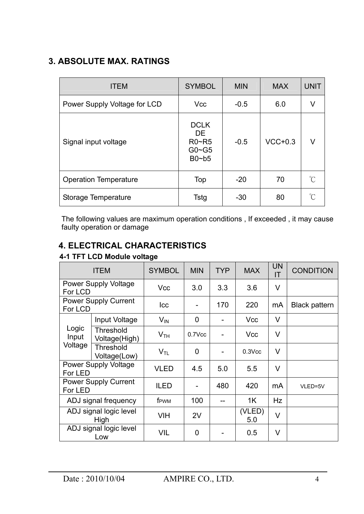# **3. ABSOLUTE MAX. RATINGS**

| <b>ITEM</b>                  | <b>SYMBOL</b>                                                    | <b>MIN</b> | <b>MAX</b> | <b>UNIT</b>         |
|------------------------------|------------------------------------------------------------------|------------|------------|---------------------|
| Power Supply Voltage for LCD | <b>Vcc</b>                                                       | $-0.5$     | 6.0        | v                   |
| Signal input voltage         | <b>DCLK</b><br>DE.<br>$R0\neg R5$<br>$G0 \sim G5$<br>$Bo$ ~ $b5$ | $-0.5$     | $VCC+0.3$  | V                   |
| <b>Operation Temperature</b> | Top                                                              | $-20$      | 70         | $\int_{0}^{\infty}$ |
| Storage Temperature          | Tstg                                                             | $-30$      | 80         | °C                  |

The following values are maximum operation conditions , If exceeded , it may cause faulty operation or damage

# **4. ELECTRICAL CHARACTERISTICS**

#### **4-1 TFT LCD Module voltage**

| <b>ITEM</b>                            |                                   | <b>SYMBOL</b>              | <b>MIN</b>     | <b>TYP</b> | <b>MAX</b>    | <b>UN</b><br>ΙT | <b>CONDITION</b>     |
|----------------------------------------|-----------------------------------|----------------------------|----------------|------------|---------------|-----------------|----------------------|
| For LCD                                | <b>Power Supply Voltage</b>       | <b>Vcc</b>                 | 3.0            | 3.3        | 3.6           | V               |                      |
| For LCD                                | <b>Power Supply Current</b>       | <b>Icc</b>                 |                | 170        | 220           | mA              | <b>Black pattern</b> |
|                                        | Input Voltage                     | $V_{IN}$                   | $\overline{0}$ |            | <b>Vcc</b>    | V               |                      |
| Logic<br>Input                         | <b>Threshold</b><br>Voltage(High) | V <sub>TH</sub>            | 0.7Vcc         |            | <b>Vcc</b>    | V               |                      |
| Voltage                                | <b>Threshold</b><br>Voltage(Low)  | $\mathsf{V}_{\mathsf{TL}}$ | 0              |            | $0.3$ Vcc     | V               |                      |
| <b>Power Supply Voltage</b><br>For LED |                                   | <b>VLED</b>                | 4.5            | 5.0        | 5.5           | V               |                      |
| <b>Power Supply Current</b><br>For LED |                                   | <b>ILED</b>                |                | 480        | 420           | mA              | VLED=5V              |
| ADJ signal frequency                   |                                   | f <sub>PWM</sub>           | 100            |            | 1K            | Hz              |                      |
| ADJ signal logic level<br>High         |                                   | <b>VIH</b>                 | 2V             |            | (VLED)<br>5.0 | $\vee$          |                      |
|                                        | ADJ signal logic level<br>Low     | VIL                        | $\overline{0}$ |            | 0.5           | V               |                      |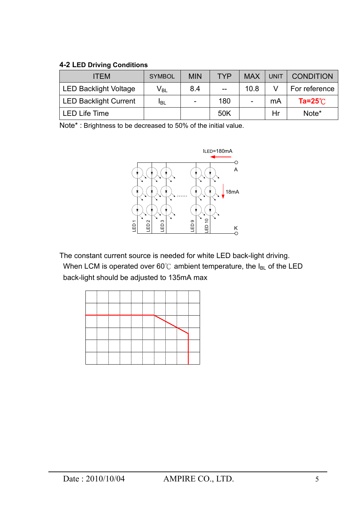#### **4-2 LED Driving Conditions**

| <b>ITEM</b>                  | <b>SYMBOL</b>              | <b>MIN</b> | <b>TYP</b>        | <b>MAX</b> | <b>UNIT</b> | <b>CONDITION</b>   |
|------------------------------|----------------------------|------------|-------------------|------------|-------------|--------------------|
| <b>LED Backlight Voltage</b> | $\mathsf{V}_{\mathsf{BL}}$ | 8.4        | $\qquad \qquad -$ | 10.8       |             | For reference      |
| <b>LED Backlight Current</b> | <b>I</b> BL                | -          | 180               |            | mA          | Ta= $25^{\circ}$ C |
| <b>LED Life Time</b>         |                            |            | 50K               |            | Hr          | Note*              |

Note\* : Brightness to be decreased to 50% of the initial value.



The constant current source is needed for white LED back-light driving. When LCM is operated over 60°C ambient temperature, the  $I_{BL}$  of the LED back-light should be adjusted to 135mA max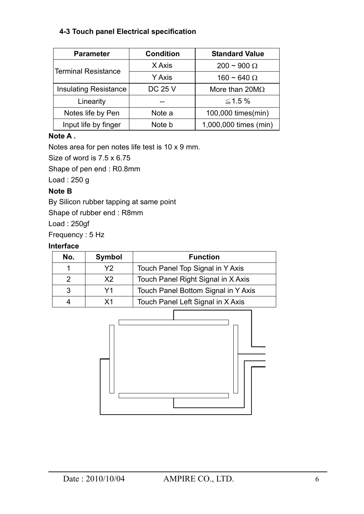#### **4-3 Touch panel Electrical specification**

| <b>Parameter</b>             | <b>Condition</b> | <b>Standard Value</b> |  |  |
|------------------------------|------------------|-----------------------|--|--|
| Terminal Resistance          | X Axis           | $200 \sim 900 \Omega$ |  |  |
|                              | <b>Y Axis</b>    | 160 ~ 640 $\Omega$    |  |  |
| <b>Insulating Resistance</b> | <b>DC 25 V</b>   | More than $20M\Omega$ |  |  |
| Linearity                    |                  | $\leq$ 1.5 %          |  |  |
| Notes life by Pen            | Note a           | 100,000 times(min)    |  |  |
| Input life by finger         | Note b           | 1,000,000 times (min) |  |  |

#### **Note A .**

Notes area for pen notes life test is 10 x 9 mm.

Size of word is 7.5 x 6.75

Shape of pen end : R0.8mm

Load : 250 g

#### **Note B**

By Silicon rubber tapping at same point

Shape of rubber end : R8mm

Load : 250gf

Frequency : 5 Hz

#### **Interface**

| No. | Symbol | <b>Function</b>                     |
|-----|--------|-------------------------------------|
|     | Y2     | Touch Panel Top Signal in Y Axis    |
| 2   | X2     | Touch Panel Right Signal in X Axis  |
| 3   | Y1     | Touch Panel Bottom Signal in Y Axis |
|     | Χ1     | Touch Panel Left Signal in X Axis   |

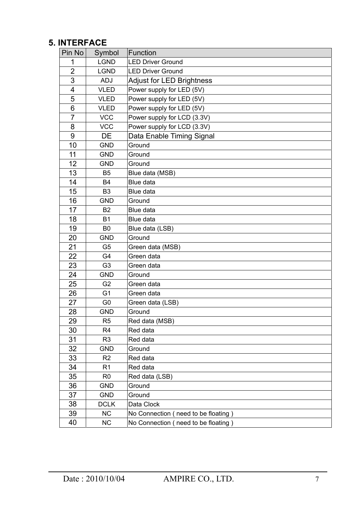## **5. INTERFACE**

| Pin No         | Symbol         | Function                            |
|----------------|----------------|-------------------------------------|
| 1              | <b>LGND</b>    | <b>LED Driver Ground</b>            |
| $\overline{2}$ | <b>LGND</b>    | <b>LED Driver Ground</b>            |
| 3              | <b>ADJ</b>     | <b>Adjust for LED Brightness</b>    |
| $\overline{4}$ | <b>VLED</b>    | Power supply for LED (5V)           |
| 5              | <b>VLED</b>    | Power supply for LED (5V)           |
| 6              | <b>VLED</b>    | Power supply for LED (5V)           |
| $\overline{7}$ | <b>VCC</b>     | Power supply for LCD (3.3V)         |
| 8              | <b>VCC</b>     | Power supply for LCD (3.3V)         |
| 9              | DE             | Data Enable Timing Signal           |
| 10             | <b>GND</b>     | Ground                              |
| 11             | <b>GND</b>     | Ground                              |
| 12             | <b>GND</b>     | Ground                              |
| 13             | B <sub>5</sub> | Blue data (MSB)                     |
| 14             | B4             | Blue data                           |
| 15             | B <sub>3</sub> | Blue data                           |
| 16             | <b>GND</b>     | Ground                              |
| 17             | B <sub>2</sub> | Blue data                           |
| 18             | <b>B1</b>      | Blue data                           |
| 19             | B <sub>0</sub> | Blue data (LSB)                     |
| 20             | <b>GND</b>     | Ground                              |
| 21             | G <sub>5</sub> | Green data (MSB)                    |
| 22             | G <sub>4</sub> | Green data                          |
| 23             | G <sub>3</sub> | Green data                          |
| 24             | <b>GND</b>     | Ground                              |
| 25             | G <sub>2</sub> | Green data                          |
| 26             | G <sub>1</sub> | Green data                          |
| 27             | G <sub>0</sub> | Green data (LSB)                    |
| 28             | <b>GND</b>     | Ground                              |
| 29             | R <sub>5</sub> | Red data (MSB)                      |
| 30             | R4             | Red data                            |
| 31             | R <sub>3</sub> | Red data                            |
| 32             | <b>GND</b>     | Ground                              |
| 33             | R <sub>2</sub> | Red data                            |
| 34             | R1             | Red data                            |
| 35             | R <sub>0</sub> | Red data (LSB)                      |
| 36             | <b>GND</b>     | Ground                              |
| 37             | <b>GND</b>     | Ground                              |
| 38             | <b>DCLK</b>    | Data Clock                          |
| 39             | <b>NC</b>      | No Connection (need to be floating) |
| 40             | NC             | No Connection (need to be floating) |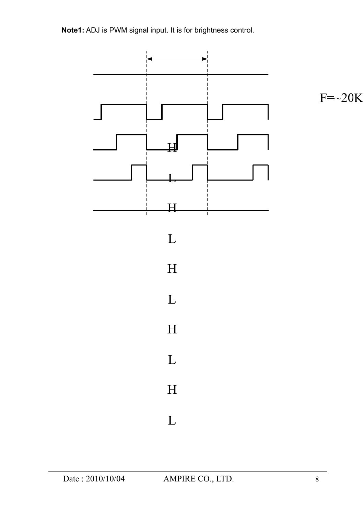**Note1:** ADJ is PWM signal input. It is for brightness control.



 $F=\sim20K$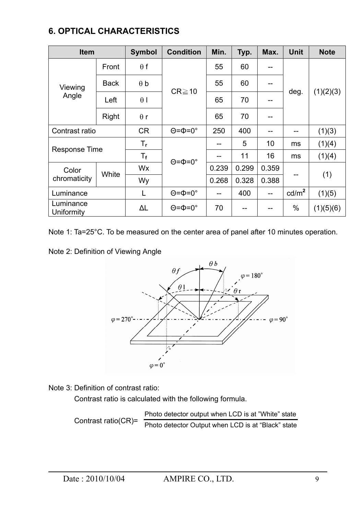## **6. OPTICAL CHARACTERISTICS**

| <b>Item</b>             |             | <b>Symbol</b>             | <b>Condition</b>            | Min.  | Typ.  | Max.  | <b>Unit</b>     | <b>Note</b> |  |
|-------------------------|-------------|---------------------------|-----------------------------|-------|-------|-------|-----------------|-------------|--|
| Viewing<br>Angle        | Front       | $\theta$ f                | $CR \ge 10$                 | 55    | 60    |       |                 |             |  |
|                         | <b>Back</b> | $\theta$ b                |                             | 55    | 60    | --    |                 | (1)(2)(3)   |  |
|                         | Left        | $\theta$                  |                             | 65    | 70    |       | deg.            |             |  |
|                         | Right       | $\theta$ r                |                             | 65    | 70    |       |                 |             |  |
| Contrast ratio          |             | <b>CR</b>                 | $\Theta = \Phi = 0^{\circ}$ | 250   | 400   | --    | --              | (1)(3)      |  |
| <b>Response Time</b>    |             | $\mathsf{T}_{\mathsf{r}}$ | $\Theta = \Phi = 0^\circ$   |       | 5     | 10    | ms              | (1)(4)      |  |
|                         |             | $T_{\rm f}$               |                             |       | 11    | 16    | ms              | (1)(4)      |  |
| Color                   | White       | Wx                        |                             | 0.239 | 0.299 | 0.359 |                 |             |  |
| chromaticity            |             | Wy                        |                             | 0.268 | 0.328 | 0.388 |                 | (1)         |  |
| Luminance               |             | L                         | $\Theta = \Phi = 0^\circ$   | --    | 400   | $- -$ | $\text{cd/m}^2$ | (1)(5)      |  |
| Luminance<br>Uniformity |             | ΔL                        | $\Theta = \Phi = 0^\circ$   | 70    | --    |       | $\%$            | (1)(5)(6)   |  |

Note 1: Ta=25°C. To be measured on the center area of panel after 10 minutes operation.

Note 2: Definition of Viewing Angle



Note 3: Definition of contrast ratio:

Contrast ratio is calculated with the following formula.

 Contrast ratio(CR)= Photo detector output when LCD is at "White" state Photo detector Output when LCD is at "Black" state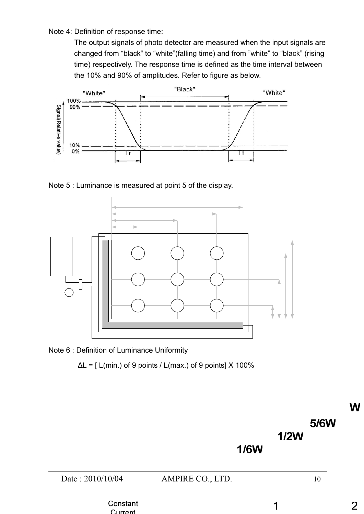Note 4: Definition of response time:

 The output signals of photo detector are measured when the input signals are changed from "black" to "white"(falling time) and from "white" to "black" (rising time) respectively. The response time is defined as the time interval between the 10% and 90% of amplitudes. Refer to figure as below.



Note 5 : Luminance is measured at point 5 of the display.





 $C$ urront

 $\Delta L = [$  L(min.) of 9 points / L(max.) of 9 points] X 100%

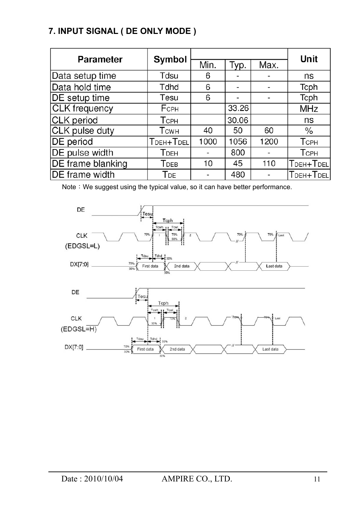# **7. INPUT SIGNAL ( DE ONLY MODE )**

|                       | Symbol                  |      | <b>Unit</b> |      |             |
|-----------------------|-------------------------|------|-------------|------|-------------|
| <b>Parameter</b>      |                         | Min. | Typ.        | Max. |             |
| Data setup time       | Tdsu                    | 6    |             |      | ns          |
| Data hold time        | Tdhd                    | 6    |             |      | Tcph        |
| DE setup time         | Tesu                    | 6    |             |      | Tcph        |
| <b>CLK</b> frequency  | FCPH                    |      | 33.26       |      | <b>MHz</b>  |
| <b>CLK</b> period     | <b>T</b> CPH            |      | 30.06       |      | ns          |
| CLK pulse duty        | <b>T</b> <sub>CWH</sub> | 40   | 50          | 60   | ℅           |
| DE period             | TDEH+TDEL               | 1000 | 1056        | 1200 | <b>TCPH</b> |
| DE pulse width        | <b>T</b> <sub>DEH</sub> |      | 800         |      | <b>TCPH</b> |
| DE frame blanking     | <b>T</b> DEB            | 10   | 45          | 110  | TDEH+TDEL   |
| <b>DE</b> frame width | T <sub>DE</sub>         |      | 480         |      | TDEH+TDEL   |

Note: We suggest using the typical value, so it can have better performance.

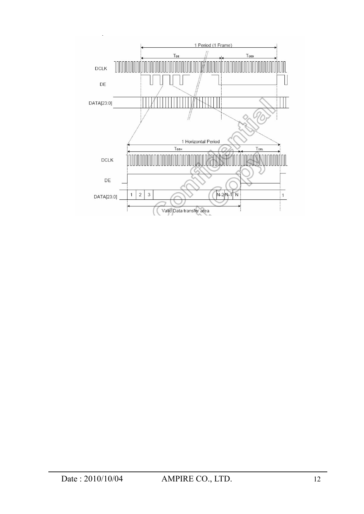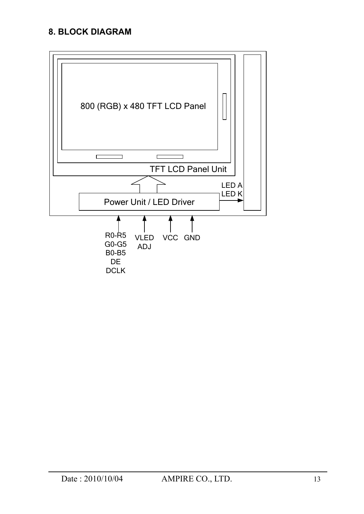## **8. BLOCK DIAGRAM**

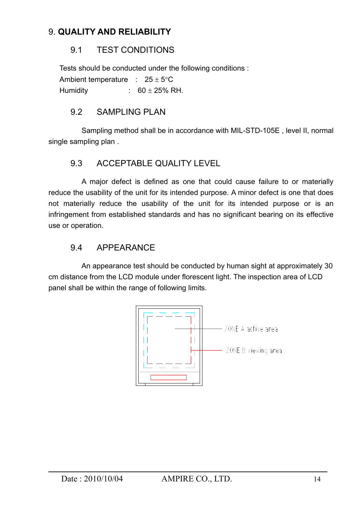## 9. **QUALITY AND RELIABILITY**

## 9.1 TEST CONDITIONS

 Tests should be conducted under the following conditions : Ambient temperature :  $25 \pm 5$ °C Humidity :  $60 \pm 25\%$  RH.

## 9.2 SAMPLING PLAN

 Sampling method shall be in accordance with MIL-STD-105E , level II, normal single sampling plan .

## 9.3 ACCEPTABLE QUALITY LEVEL

 A major defect is defined as one that could cause failure to or materially reduce the usability of the unit for its intended purpose. A minor defect is one that does not materially reduce the usability of the unit for its intended purpose or is an infringement from established standards and has no significant bearing on its effective use or operation.

## 9.4 APPEARANCE

 An appearance test should be conducted by human sight at approximately 30 cm distance from the LCD module under florescent light. The inspection area of LCD panel shall be within the range of following limits.

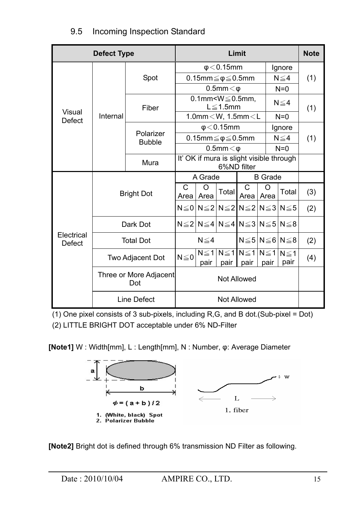| <b>Defect Type</b>             |                               | Limit                      |                                                         |                                       |       |                                                              |                                  | <b>Note</b>        |     |
|--------------------------------|-------------------------------|----------------------------|---------------------------------------------------------|---------------------------------------|-------|--------------------------------------------------------------|----------------------------------|--------------------|-----|
|                                |                               |                            | $\phi$ < 0.15mm                                         |                                       |       |                                                              |                                  | Ignore             |     |
|                                |                               | Spot                       |                                                         | 0.15mm $\leq \phi \leq 0.5$ mm        |       |                                                              |                                  | $N \leq 4$         | (1) |
|                                |                               |                            | $0.5$ mm $<$ $\varphi$                                  |                                       |       |                                                              |                                  | $N=0$              |     |
|                                |                               | Fiber                      | 0.1mm $\leq$ $0.5$ mm,<br>$L \leq 1.5$ mm               |                                       |       |                                                              |                                  | $N \leq 4$         | (1) |
| <b>Visual</b><br><b>Defect</b> | Internal                      |                            |                                                         | 1.0mm $\langle W, 1.5$ mm $\langle L$ |       |                                                              |                                  | $N=0$              |     |
|                                |                               | Polarizer<br><b>Bubble</b> | $\phi$ < 0.15mm                                         |                                       |       |                                                              |                                  | Ignore             |     |
|                                |                               |                            |                                                         | 0.15mm $\leq \phi \leq 0.5$ mm        |       |                                                              |                                  | $N \leq 4$         | (1) |
|                                |                               |                            | $0.5$ mm $<$ $\varphi$                                  |                                       |       |                                                              | $N=0$                            |                    |     |
|                                |                               | Mura                       | It' OK if mura is slight visible through<br>6%ND filter |                                       |       |                                                              |                                  |                    |     |
| Electrical<br><b>Defect</b>    |                               |                            |                                                         | A Grade<br><b>B</b> Grade             |       |                                                              |                                  |                    |     |
|                                |                               | <b>Bright Dot</b>          | $\mathsf{C}$                                            | $\Omega$<br>Area Area                 | Total | $\mathsf{C}$                                                 | O<br>Area Area                   | Total              | (3) |
|                                |                               |                            |                                                         |                                       |       | $N \leq 0  N \leq 2  N \leq 2  N \leq 2  N \leq 3  N \leq 5$ |                                  |                    | (2) |
|                                |                               | Dark Dot                   |                                                         |                                       |       | $N \leq 2 N \leq 4 N \leq 4 N \leq 3 N \leq 5 N \leq 8$      |                                  |                    |     |
|                                |                               | <b>Total Dot</b>           |                                                         | $N \leq 4$                            |       |                                                              | $N \leq 5$ $N \leq 6$ $N \leq 8$ |                    | (2) |
|                                | Two Adjacent Dot              |                            | $N \leq 0$                                              | pair                                  | pair  | $N \leq 1   N \leq 1   N \leq 1   N \leq 1  $<br>pair        | pair                             | $N \leq 1$<br>pair | (4) |
|                                | Three or More Adjacent<br>Dot |                            | <b>Not Allowed</b>                                      |                                       |       |                                                              |                                  |                    |     |
|                                | Line Defect                   |                            | <b>Not Allowed</b>                                      |                                       |       |                                                              |                                  |                    |     |

## 9.5 Incoming Inspection Standard

(1) One pixel consists of 3 sub-pixels, including R,G, and B dot.(Sub-pixel = Dot) (2) LITTLE BRIGHT DOT acceptable under 6% ND-Filter

**[Note1]** W : Width[mm], L : Length[mm], N : Number, φ: Average Diameter



**[Note2]** Bright dot is defined through 6% transmission ND Filter as following.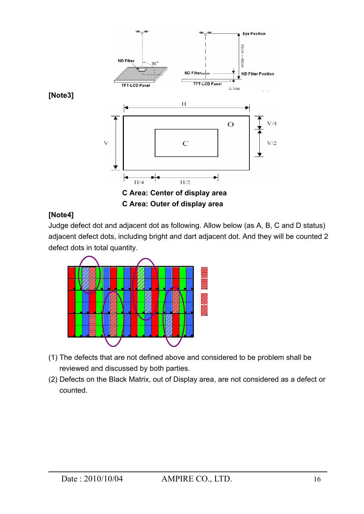

#### **[Note4]**

Judge defect dot and adjacent dot as following. Allow below (as A, B, C and D status) adjacent defect dots, including bright and dart adjacent dot. And they will be counted 2 defect dots in total quantity.



- (1) The defects that are not defined above and considered to be problem shall be reviewed and discussed by both parties.
- (2) Defects on the Black Matrix, out of Display area, are not considered as a defect or counted.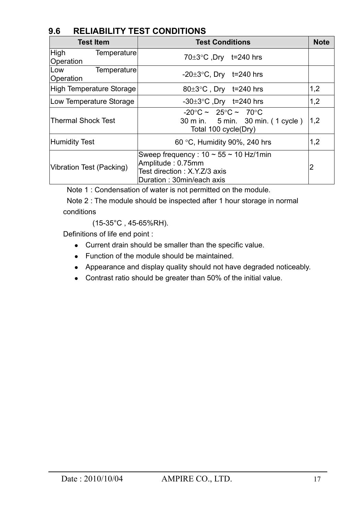## **9.6 RELIABILITY TEST CONDITIONS**

| <b>Test Item</b>                 | <b>Test Conditions</b>                                                                                                           |     |  |  |
|----------------------------------|----------------------------------------------------------------------------------------------------------------------------------|-----|--|--|
| High<br>Temperature<br>Operation | 70 $\pm$ 3°C, Dry t=240 hrs                                                                                                      |     |  |  |
| Temperature<br>Low<br>Operation  | -20 $\pm$ 3°C, Dry t=240 hrs                                                                                                     |     |  |  |
| <b>High Temperature Storage</b>  | $80\pm3$ °C, Dry t=240 hrs                                                                                                       | 1,2 |  |  |
| Low Temperature Storage          | -30 $\pm$ 3°C, Dry t=240 hrs                                                                                                     | 1,2 |  |  |
| <b>Thermal Shock Test</b>        | $-20^{\circ}$ C ~ 25 $^{\circ}$ C ~ 70 $^{\circ}$ C<br>30 m in. 5 min. 30 min. (1 cycle)<br>Total 100 cycle(Dry)                 | 1,2 |  |  |
| Humidity Test                    | 60 °C, Humidity 90%, 240 hrs                                                                                                     | 1,2 |  |  |
| Vibration Test (Packing)         | Sweep frequency: $10 \sim 55 \sim 10$ Hz/1 min<br>Amplitude: 0.75mm<br>Test direction: X.Y.Z/3 axis<br>Duration: 30min/each axis | 2   |  |  |

Note 1 : Condensation of water is not permitted on the module.

 Note 2 : The module should be inspected after 1 hour storage in normal conditions

(15-35°C , 45-65%RH).

Definitions of life end point :

- Current drain should be smaller than the specific value.
- Function of the module should be maintained.
- Appearance and display quality should not have degraded noticeably.
- Contrast ratio should be greater than 50% of the initial value.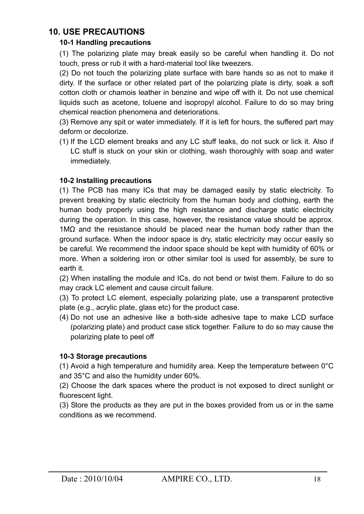## **10. USE PRECAUTIONS**

#### **10-1 Handling precautions**

(1) The polarizing plate may break easily so be careful when handling it. Do not touch, press or rub it with a hard-material tool like tweezers.

(2) Do not touch the polarizing plate surface with bare hands so as not to make it dirty. If the surface or other related part of the polarizing plate is dirty, soak a soft cotton cloth or chamois leather in benzine and wipe off with it. Do not use chemical liquids such as acetone, toluene and isopropyl alcohol. Failure to do so may bring chemical reaction phenomena and deteriorations.

(3) Remove any spit or water immediately. If it is left for hours, the suffered part may deform or decolorize.

(1) If the LCD element breaks and any LC stuff leaks, do not suck or lick it. Also if LC stuff is stuck on your skin or clothing, wash thoroughly with soap and water immediately.

#### **10-2 Installing precautions**

(1) The PCB has many ICs that may be damaged easily by static electricity. To prevent breaking by static electricity from the human body and clothing, earth the human body properly using the high resistance and discharge static electricity during the operation. In this case, however, the resistance value should be approx. 1M $\Omega$  and the resistance should be placed near the human body rather than the ground surface. When the indoor space is dry, static electricity may occur easily so be careful. We recommend the indoor space should be kept with humidity of 60% or more. When a soldering iron or other similar tool is used for assembly, be sure to earth it.

(2) When installing the module and ICs, do not bend or twist them. Failure to do so may crack LC element and cause circuit failure.

(3) To protect LC element, especially polarizing plate, use a transparent protective plate (e.g., acrylic plate, glass etc) for the product case.

(4) Do not use an adhesive like a both-side adhesive tape to make LCD surface (polarizing plate) and product case stick together. Failure to do so may cause the polarizing plate to peel off

#### **10-3 Storage precautions**

(1) Avoid a high temperature and humidity area. Keep the temperature between  $0^{\circ}$ C and 35°C and also the humidity under 60%.

(2) Choose the dark spaces where the product is not exposed to direct sunlight or fluorescent light.

(3) Store the products as they are put in the boxes provided from us or in the same conditions as we recommend.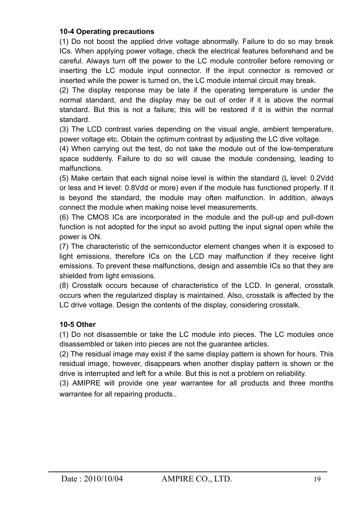#### **10-4 Operating precautions**

(1) Do not boost the applied drive voltage abnormally. Failure to do so may break ICs. When applying power voltage, check the electrical features beforehand and be careful. Always turn off the power to the LC module controller before removing or inserting the LC module input connector. If the input connector is removed or inserted while the power is turned on, the LC module internal circuit may break.

(2) The display response may be late if the operating temperature is under the normal standard, and the display may be out of order if it is above the normal standard. But this is not a failure; this will be restored if it is within the normal standard.

(3) The LCD contrast varies depending on the visual angle, ambient temperature, power voltage etc. Obtain the optimum contrast by adjusting the LC dive voltage.

(4) When carrying out the test, do not take the module out of the low-temperature space suddenly. Failure to do so will cause the module condensing, leading to malfunctions.

(5) Make certain that each signal noise level is within the standard (L level: 0.2Vdd or less and H level: 0.8Vdd or more) even if the module has functioned properly. If it is beyond the standard, the module may often malfunction. In addition, always connect the module when making noise level measurements.

(6) The CMOS ICs are incorporated in the module and the pull-up and pull-down function is not adopted for the input so avoid putting the input signal open while the power is ON.

(7) The characteristic of the semiconductor element changes when it is exposed to light emissions, therefore ICs on the LCD may malfunction if they receive light emissions. To prevent these malfunctions, design and assemble ICs so that they are shielded from light emissions.

(8) Crosstalk occurs because of characteristics of the LCD. In general, crosstalk occurs when the regularized display is maintained. Also, crosstalk is affected by the LC drive voltage. Design the contents of the display, considering crosstalk.

#### **10-5 Other**

(1) Do not disassemble or take the LC module into pieces. The LC modules once disassembled or taken into pieces are not the guarantee articles.

(2) The residual image may exist if the same display pattern is shown for hours. This residual image, however, disappears when another display pattern is shown or the drive is interrupted and left for a while. But this is not a problem on reliability.

(3) AMIPRE will provide one year warrantee for all products and three months warrantee for all repairing products..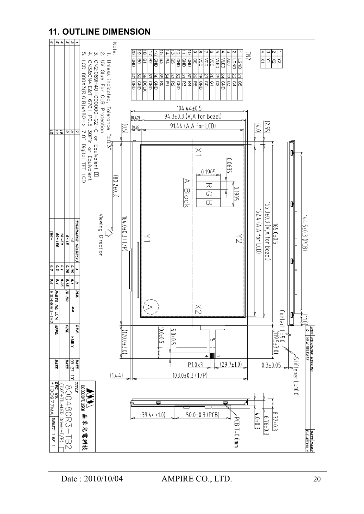## **11. OUTLINE DIMENSION**